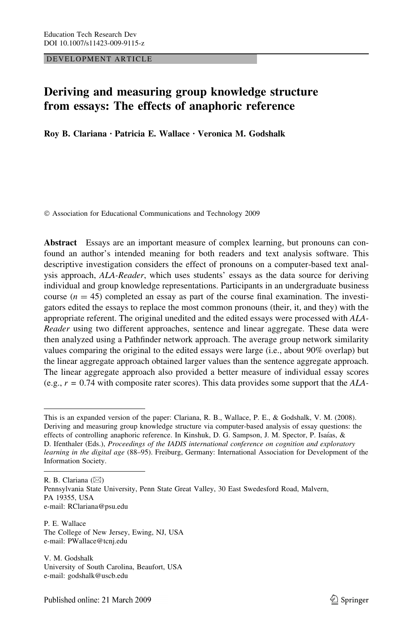DEVELOPMENT ARTICLE

# Deriving and measuring group knowledge structure from essays: The effects of anaphoric reference

Roy B. Clariana · Patricia E. Wallace · Veronica M. Godshalk

Association for Educational Communications and Technology 2009

Abstract Essays are an important measure of complex learning, but pronouns can confound an author's intended meaning for both readers and text analysis software. This descriptive investigation considers the effect of pronouns on a computer-based text analysis approach, ALA-Reader, which uses students' essays as the data source for deriving individual and group knowledge representations. Participants in an undergraduate business course  $(n = 45)$  completed an essay as part of the course final examination. The investigators edited the essays to replace the most common pronouns (their, it, and they) with the appropriate referent. The original unedited and the edited essays were processed with ALA-Reader using two different approaches, sentence and linear aggregate. These data were then analyzed using a Pathfinder network approach. The average group network similarity values comparing the original to the edited essays were large (i.e., about 90% overlap) but the linear aggregate approach obtained larger values than the sentence aggregate approach. The linear aggregate approach also provided a better measure of individual essay scores (e.g.,  $r = 0.74$  with composite rater scores). This data provides some support that the ALA-

R. B. Clariana  $(\boxtimes)$ Pennsylvania State University, Penn State Great Valley, 30 East Swedesford Road, Malvern, PA 19355, USA e-mail: RClariana@psu.edu

P. E. Wallace The College of New Jersey, Ewing, NJ, USA e-mail: PWallace@tcnj.edu

V. M. Godshalk University of South Carolina, Beaufort, USA e-mail: godshalk@uscb.edu

This is an expanded version of the paper: Clariana, R. B., Wallace, P. E., & Godshalk, V. M. (2008). Deriving and measuring group knowledge structure via computer-based analysis of essay questions: the effects of controlling anaphoric reference. In Kinshuk, D. G. Sampson, J. M. Spector, P. Isaı´as, & D. Ifenthaler (Eds.), Proceedings of the IADIS international conference on cognition and exploratory learning in the digital age (88–95). Freiburg, Germany: International Association for Development of the Information Society.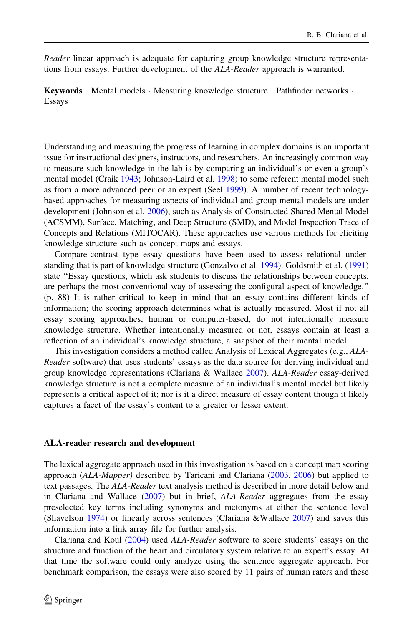Reader linear approach is adequate for capturing group knowledge structure representations from essays. Further development of the ALA-Reader approach is warranted.

**Keywords** Mental models  $\cdot$  Measuring knowledge structure  $\cdot$  Pathfinder networks  $\cdot$ Essays

Understanding and measuring the progress of learning in complex domains is an important issue for instructional designers, instructors, and researchers. An increasingly common way to measure such knowledge in the lab is by comparing an individual's or even a group's mental model (Craik [1943](#page-11-0); Johnson-Laird et al. [1998](#page-11-0)) to some referent mental model such as from a more advanced peer or an expert (Seel [1999](#page-11-0)). A number of recent technologybased approaches for measuring aspects of individual and group mental models are under development (Johnson et al. [2006\)](#page-11-0), such as Analysis of Constructed Shared Mental Model (ACSMM), Surface, Matching, and Deep Structure (SMD), and Model Inspection Trace of Concepts and Relations (MITOCAR). These approaches use various methods for eliciting knowledge structure such as concept maps and essays.

Compare-contrast type essay questions have been used to assess relational understanding that is part of knowledge structure (Gonzalvo et al. [1994](#page-11-0)). Goldsmith et al. ([1991](#page-11-0)) state ''Essay questions, which ask students to discuss the relationships between concepts, are perhaps the most conventional way of assessing the configural aspect of knowledge.'' (p. 88) It is rather critical to keep in mind that an essay contains different kinds of information; the scoring approach determines what is actually measured. Most if not all essay scoring approaches, human or computer-based, do not intentionally measure knowledge structure. Whether intentionally measured or not, essays contain at least a reflection of an individual's knowledge structure, a snapshot of their mental model.

This investigation considers a method called Analysis of Lexical Aggregates (e.g., ALA-Reader software) that uses students' essays as the data source for deriving individual and group knowledge representations (Clariana & Wallace [2007\)](#page-11-0). ALA-Reader essay-derived knowledge structure is not a complete measure of an individual's mental model but likely represents a critical aspect of it; nor is it a direct measure of essay content though it likely captures a facet of the essay's content to a greater or lesser extent.

### ALA-reader research and development

The lexical aggregate approach used in this investigation is based on a concept map scoring approach (ALA-Mapper) described by Taricani and Clariana [\(2003](#page-11-0), [2006\)](#page-11-0) but applied to text passages. The ALA-Reader text analysis method is described in more detail below and in Clariana and Wallace ([2007\)](#page-11-0) but in brief, ALA-Reader aggregates from the essay preselected key terms including synonyms and metonyms at either the sentence level (Shavelson [1974](#page-11-0)) or linearly across sentences (Clariana &Wallace [2007](#page-11-0)) and saves this information into a link array file for further analysis.

Clariana and Koul [\(2004](#page-11-0)) used ALA-Reader software to score students' essays on the structure and function of the heart and circulatory system relative to an expert's essay. At that time the software could only analyze using the sentence aggregate approach. For benchmark comparison, the essays were also scored by 11 pairs of human raters and these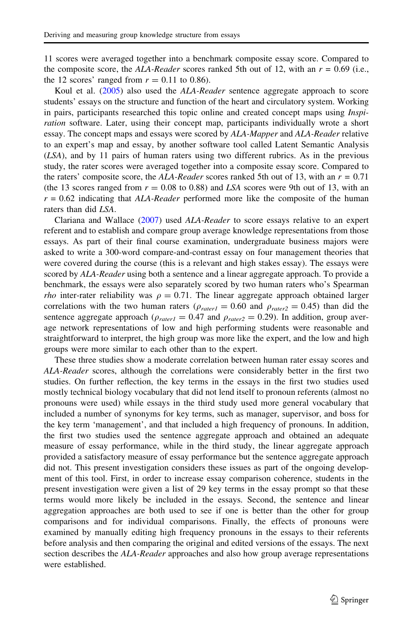11 scores were averaged together into a benchmark composite essay score. Compared to the composite score, the ALA-Reader scores ranked 5th out of 12, with an  $r = 0.69$  (i.e., the 12 scores' ranged from  $r = 0.11$  to 0.86).

Koul et al. ([2005\)](#page-11-0) also used the ALA-Reader sentence aggregate approach to score students' essays on the structure and function of the heart and circulatory system. Working in pairs, participants researched this topic online and created concept maps using Inspiration software. Later, using their concept map, participants individually wrote a short essay. The concept maps and essays were scored by ALA-Mapper and ALA-Reader relative to an expert's map and essay, by another software tool called Latent Semantic Analysis (LSA), and by 11 pairs of human raters using two different rubrics. As in the previous study, the rater scores were averaged together into a composite essay score. Compared to the raters' composite score, the ALA-Reader scores ranked 5th out of 13, with an  $r = 0.71$ (the 13 scores ranged from  $r = 0.08$  to 0.88) and LSA scores were 9th out of 13, with an  $r = 0.62$  indicating that ALA-Reader performed more like the composite of the human raters than did LSA.

Clariana and Wallace [\(2007](#page-11-0)) used ALA-Reader to score essays relative to an expert referent and to establish and compare group average knowledge representations from those essays. As part of their final course examination, undergraduate business majors were asked to write a 300-word compare-and-contrast essay on four management theories that were covered during the course (this is a relevant and high stakes essay). The essays were scored by ALA-Reader using both a sentence and a linear aggregate approach. To provide a benchmark, the essays were also separately scored by two human raters who's Spearman *rho* inter-rater reliability was  $\rho = 0.71$ . The linear aggregate approach obtained larger correlations with the two human raters ( $\rho_{rater1} = 0.60$  and  $\rho_{rater2} = 0.45$ ) than did the sentence aggregate approach ( $\rho_{rater1} = 0.47$  and  $\rho_{rater2} = 0.29$ ). In addition, group average network representations of low and high performing students were reasonable and straightforward to interpret, the high group was more like the expert, and the low and high groups were more similar to each other than to the expert.

These three studies show a moderate correlation between human rater essay scores and ALA-Reader scores, although the correlations were considerably better in the first two studies. On further reflection, the key terms in the essays in the first two studies used mostly technical biology vocabulary that did not lend itself to pronoun referents (almost no pronouns were used) while essays in the third study used more general vocabulary that included a number of synonyms for key terms, such as manager, supervisor, and boss for the key term 'management', and that included a high frequency of pronouns. In addition, the first two studies used the sentence aggregate approach and obtained an adequate measure of essay performance, while in the third study, the linear aggregate approach provided a satisfactory measure of essay performance but the sentence aggregate approach did not. This present investigation considers these issues as part of the ongoing development of this tool. First, in order to increase essay comparison coherence, students in the present investigation were given a list of 29 key terms in the essay prompt so that these terms would more likely be included in the essays. Second, the sentence and linear aggregation approaches are both used to see if one is better than the other for group comparisons and for individual comparisons. Finally, the effects of pronouns were examined by manually editing high frequency pronouns in the essays to their referents before analysis and then comparing the original and edited versions of the essays. The next section describes the ALA-Reader approaches and also how group average representations were established.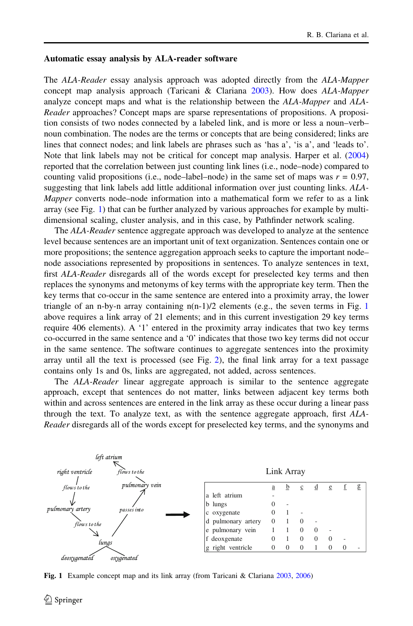## Automatic essay analysis by ALA-reader software

The ALA-Reader essay analysis approach was adopted directly from the ALA-Mapper concept map analysis approach (Taricani & Clariana [2003](#page-11-0)). How does ALA-Mapper analyze concept maps and what is the relationship between the ALA-Mapper and ALA-Reader approaches? Concept maps are sparse representations of propositions. A proposition consists of two nodes connected by a labeled link, and is more or less a noun–verb– noun combination. The nodes are the terms or concepts that are being considered; links are lines that connect nodes; and link labels are phrases such as 'has a', 'is a', and 'leads to'. Note that link labels may not be critical for concept map analysis. Harper et al. ([2004](#page-11-0)) reported that the correlation between just counting link lines (i.e., node–node) compared to counting valid propositions (i.e., node–label–node) in the same set of maps was  $r = 0.97$ , suggesting that link labels add little additional information over just counting links. ALA-Mapper converts node–node information into a mathematical form we refer to as a link array (see Fig. 1) that can be further analyzed by various approaches for example by multidimensional scaling, cluster analysis, and in this case, by Pathfinder network scaling.

The ALA-Reader sentence aggregate approach was developed to analyze at the sentence level because sentences are an important unit of text organization. Sentences contain one or more propositions; the sentence aggregation approach seeks to capture the important node– node associations represented by propositions in sentences. To analyze sentences in text, first ALA-Reader disregards all of the words except for preselected key terms and then replaces the synonyms and metonyms of key terms with the appropriate key term. Then the key terms that co-occur in the same sentence are entered into a proximity array, the lower triangle of an n-by-n array containing  $n(n-1)/2$  elements (e.g., the seven terms in Fig. 1 above requires a link array of 21 elements; and in this current investigation 29 key terms require 406 elements). A '1' entered in the proximity array indicates that two key terms co-occurred in the same sentence and a '0' indicates that those two key terms did not occur in the same sentence. The software continues to aggregate sentences into the proximity array until all the text is processed (see Fig. [2](#page-4-0)), the final link array for a text passage contains only 1s and 0s, links are aggregated, not added, across sentences.

The ALA-Reader linear aggregate approach is similar to the sentence aggregate approach, except that sentences do not matter, links between adjacent key terms both within and across sentences are entered in the link array as these occur during a linear pass through the text. To analyze text, as with the sentence aggregate approach, first ALA-Reader disregards all of the words except for preselected key terms, and the synonyms and



Fig. 1 Example concept map and its link array (from Taricani & Clariana [2003](#page-11-0), [2006\)](#page-11-0)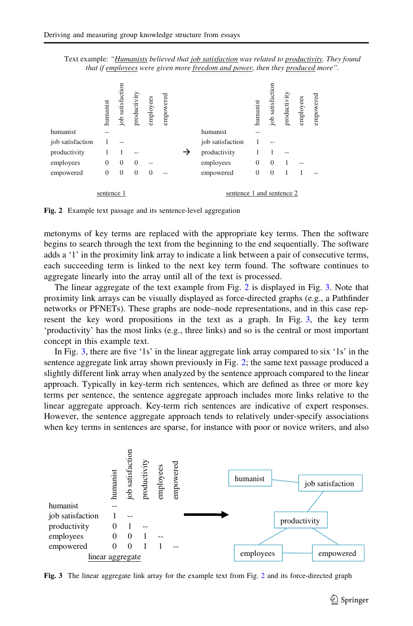<span id="page-4-0"></span>Text example: *"Humanists believed that job satisfaction was related to productivity. They found that if employees were given more freedom and power, then they produced more".*



Fig. 2 Example text passage and its sentence-level aggregation

metonyms of key terms are replaced with the appropriate key terms. Then the software begins to search through the text from the beginning to the end sequentially. The software adds a '1' in the proximity link array to indicate a link between a pair of consecutive terms, each succeeding term is linked to the next key term found. The software continues to aggregate linearly into the array until all of the text is processed.

The linear aggregate of the text example from Fig. 2 is displayed in Fig. 3. Note that proximity link arrays can be visually displayed as force-directed graphs (e.g., a Pathfinder networks or PFNETs). These graphs are node–node representations, and in this case represent the key word propositions in the text as a graph. In Fig. 3, the key term 'productivity' has the most links (e.g., three links) and so is the central or most important concept in this example text.

In Fig. 3, there are five '1s' in the linear aggregate link array compared to six '1s' in the sentence aggregate link array shown previously in Fig. 2; the same text passage produced a slightly different link array when analyzed by the sentence approach compared to the linear approach. Typically in key-term rich sentences, which are defined as three or more key terms per sentence, the sentence aggregate approach includes more links relative to the linear aggregate approach. Key-term rich sentences are indicative of expert responses. However, the sentence aggregate approach tends to relatively under-specify associations when key terms in sentences are sparse, for instance with poor or novice writers, and also



Fig. 3 The linear aggregate link array for the example text from Fig. 2 and its force-directed graph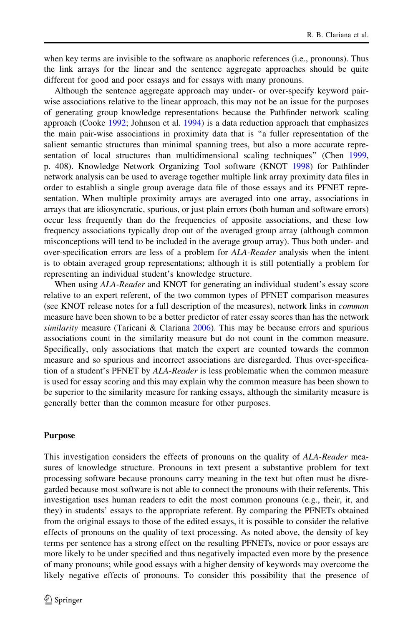when key terms are invisible to the software as anaphoric references (i.e., pronouns). Thus the link arrays for the linear and the sentence aggregate approaches should be quite different for good and poor essays and for essays with many pronouns.

Although the sentence aggregate approach may under- or over-specify keyword pairwise associations relative to the linear approach, this may not be an issue for the purposes of generating group knowledge representations because the Pathfinder network scaling approach (Cooke [1992](#page-11-0); Johnson et al. [1994](#page-11-0)) is a data reduction approach that emphasizes the main pair-wise associations in proximity data that is ''a fuller representation of the salient semantic structures than minimal spanning trees, but also a more accurate representation of local structures than multidimensional scaling techniques'' (Chen [1999](#page-11-0), p. 408). Knowledge Network Organizing Tool software (KNOT [1998\)](#page-11-0) for Pathfinder network analysis can be used to average together multiple link array proximity data files in order to establish a single group average data file of those essays and its PFNET representation. When multiple proximity arrays are averaged into one array, associations in arrays that are idiosyncratic, spurious, or just plain errors (both human and software errors) occur less frequently than do the frequencies of apposite associations, and these low frequency associations typically drop out of the averaged group array (although common misconceptions will tend to be included in the average group array). Thus both under- and over-specification errors are less of a problem for ALA-Reader analysis when the intent is to obtain averaged group representations; although it is still potentially a problem for representing an individual student's knowledge structure.

When using ALA-Reader and KNOT for generating an individual student's essay score relative to an expert referent, of the two common types of PFNET comparison measures (see KNOT release notes for a full description of the measures), network links in common measure have been shown to be a better predictor of rater essay scores than has the network similarity measure (Taricani & Clariana  $2006$ ). This may be because errors and spurious associations count in the similarity measure but do not count in the common measure. Specifically, only associations that match the expert are counted towards the common measure and so spurious and incorrect associations are disregarded. Thus over-specification of a student's PFNET by *ALA-Reader* is less problematic when the common measure is used for essay scoring and this may explain why the common measure has been shown to be superior to the similarity measure for ranking essays, although the similarity measure is generally better than the common measure for other purposes.

#### Purpose

This investigation considers the effects of pronouns on the quality of ALA-Reader measures of knowledge structure. Pronouns in text present a substantive problem for text processing software because pronouns carry meaning in the text but often must be disregarded because most software is not able to connect the pronouns with their referents. This investigation uses human readers to edit the most common pronouns (e.g., their, it, and they) in students' essays to the appropriate referent. By comparing the PFNETs obtained from the original essays to those of the edited essays, it is possible to consider the relative effects of pronouns on the quality of text processing. As noted above, the density of key terms per sentence has a strong effect on the resulting PFNETs, novice or poor essays are more likely to be under specified and thus negatively impacted even more by the presence of many pronouns; while good essays with a higher density of keywords may overcome the likely negative effects of pronouns. To consider this possibility that the presence of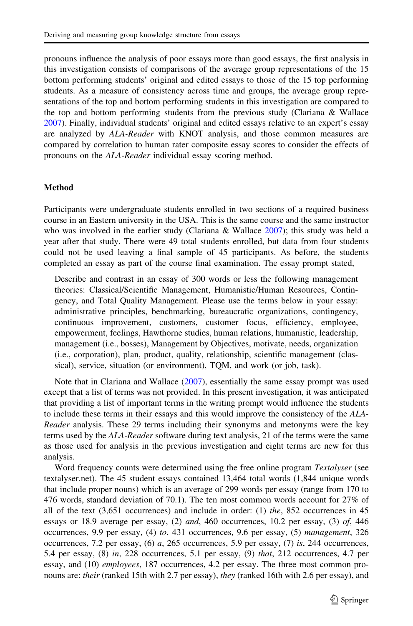pronouns influence the analysis of poor essays more than good essays, the first analysis in this investigation consists of comparisons of the average group representations of the 15 bottom performing students' original and edited essays to those of the 15 top performing students. As a measure of consistency across time and groups, the average group representations of the top and bottom performing students in this investigation are compared to the top and bottom performing students from the previous study (Clariana & Wallace [2007\)](#page-11-0). Finally, individual students' original and edited essays relative to an expert's essay are analyzed by ALA-Reader with KNOT analysis, and those common measures are compared by correlation to human rater composite essay scores to consider the effects of pronouns on the ALA-Reader individual essay scoring method.

## Method

Participants were undergraduate students enrolled in two sections of a required business course in an Eastern university in the USA. This is the same course and the same instructor who was involved in the earlier study (Clariana  $&$  Wallace [2007\)](#page-11-0); this study was held a year after that study. There were 49 total students enrolled, but data from four students could not be used leaving a final sample of 45 participants. As before, the students completed an essay as part of the course final examination. The essay prompt stated,

Describe and contrast in an essay of 300 words or less the following management theories: Classical/Scientific Management, Humanistic/Human Resources, Contingency, and Total Quality Management. Please use the terms below in your essay: administrative principles, benchmarking, bureaucratic organizations, contingency, continuous improvement, customers, customer focus, efficiency, employee, empowerment, feelings, Hawthorne studies, human relations, humanistic, leadership, management (i.e., bosses), Management by Objectives, motivate, needs, organization (i.e., corporation), plan, product, quality, relationship, scientific management (classical), service, situation (or environment), TQM, and work (or job, task).

Note that in Clariana and Wallace [\(2007](#page-11-0)), essentially the same essay prompt was used except that a list of terms was not provided. In this present investigation, it was anticipated that providing a list of important terms in the writing prompt would influence the students to include these terms in their essays and this would improve the consistency of the ALA-Reader analysis. These 29 terms including their synonyms and metonyms were the key terms used by the ALA-Reader software during text analysis, 21 of the terms were the same as those used for analysis in the previous investigation and eight terms are new for this analysis.

Word frequency counts were determined using the free online program Textalyser (see textalyser.net). The 45 student essays contained 13,464 total words (1,844 unique words that include proper nouns) which is an average of 299 words per essay (range from 170 to 476 words, standard deviation of 70.1). The ten most common words account for 27% of all of the text  $(3,651)$  occurrences) and include in order:  $(1)$  the, 852 occurrences in 45 essays or 18.9 average per essay, (2) and, 460 occurrences, 10.2 per essay, (3) of, 446 occurrences, 9.9 per essay, (4) to, 431 occurrences, 9.6 per essay, (5) management, 326 occurrences, 7.2 per essay,  $(6)$  a, 265 occurrences, 5.9 per essay,  $(7)$  is, 244 occurrences, 5.4 per essay,  $(8)$  in, 228 occurrences, 5.1 per essay,  $(9)$  that, 212 occurrences, 4.7 per essay, and (10) *employees*, 187 occurrences, 4.2 per essay. The three most common pronouns are: their (ranked 15th with 2.7 per essay), they (ranked 16th with 2.6 per essay), and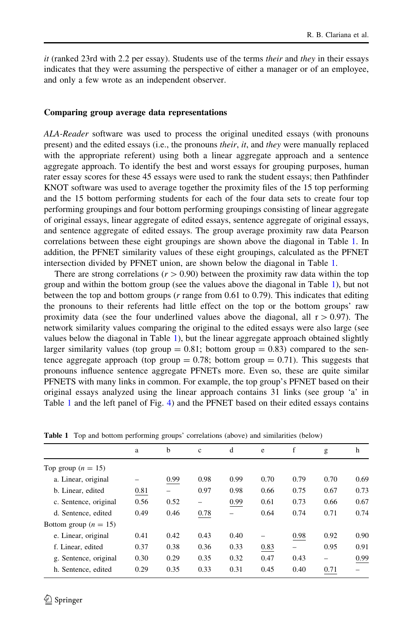<span id="page-7-0"></span>it (ranked 23rd with 2.2 per essay). Students use of the terms *their* and *they* in their essays indicates that they were assuming the perspective of either a manager or of an employee, and only a few wrote as an independent observer.

## Comparing group average data representations

ALA-Reader software was used to process the original unedited essays (with pronouns present) and the edited essays (i.e., the pronouns their, it, and they were manually replaced with the appropriate referent) using both a linear aggregate approach and a sentence aggregate approach. To identify the best and worst essays for grouping purposes, human rater essay scores for these 45 essays were used to rank the student essays; then Pathfinder KNOT software was used to average together the proximity files of the 15 top performing and the 15 bottom performing students for each of the four data sets to create four top performing groupings and four bottom performing groupings consisting of linear aggregate of original essays, linear aggregate of edited essays, sentence aggregate of original essays, and sentence aggregate of edited essays. The group average proximity raw data Pearson correlations between these eight groupings are shown above the diagonal in Table 1. In addition, the PFNET similarity values of these eight groupings, calculated as the PFNET intersection divided by PFNET union, are shown below the diagonal in Table 1.

There are strong correlations ( $r > 0.90$ ) between the proximity raw data within the top group and within the bottom group (see the values above the diagonal in Table 1), but not between the top and bottom groups  $(r \text{ range from } 0.61 \text{ to } 0.79)$ . This indicates that editing the pronouns to their referents had little effect on the top or the bottom groups' raw proximity data (see the four underlined values above the diagonal, all  $r > 0.97$ ). The network similarity values comparing the original to the edited essays were also large (see values below the diagonal in Table 1), but the linear aggregate approach obtained slightly larger similarity values (top group  $= 0.81$ ; bottom group  $= 0.83$ ) compared to the sentence aggregate approach (top group  $= 0.78$ ; bottom group  $= 0.71$ ). This suggests that pronouns influence sentence aggregate PFNETs more. Even so, these are quite similar PFNETS with many links in common. For example, the top group's PFNET based on their original essays analyzed using the linear approach contains 31 links (see group 'a' in Table 1 and the left panel of Fig. [4](#page-8-0)) and the PFNET based on their edited essays contains

|                           | a    | b    | $\mathbf{c}$ | d    | e    | f    | g    | h    |
|---------------------------|------|------|--------------|------|------|------|------|------|
| Top group $(n = 15)$      |      |      |              |      |      |      |      |      |
| a. Linear, original       |      | 0.99 | 0.98         | 0.99 | 0.70 | 0.79 | 0.70 | 0.69 |
| b. Linear, edited         | 0.81 |      | 0.97         | 0.98 | 0.66 | 0.75 | 0.67 | 0.73 |
| c. Sentence, original     | 0.56 | 0.52 |              | 0.99 | 0.61 | 0.73 | 0.66 | 0.67 |
| d. Sentence, edited       | 0.49 | 0.46 | 0.78         |      | 0.64 | 0.74 | 0.71 | 0.74 |
| Bottom group ( $n = 15$ ) |      |      |              |      |      |      |      |      |
| e. Linear, original       | 0.41 | 0.42 | 0.43         | 0.40 |      | 0.98 | 0.92 | 0.90 |
| f. Linear, edited         | 0.37 | 0.38 | 0.36         | 0.33 | 0.83 |      | 0.95 | 0.91 |
| g. Sentence, original     | 0.30 | 0.29 | 0.35         | 0.32 | 0.47 | 0.43 |      | 0.99 |
| h. Sentence, edited       | 0.29 | 0.35 | 0.33         | 0.31 | 0.45 | 0.40 | 0.71 |      |

Table 1 Top and bottom performing groups' correlations (above) and similarities (below)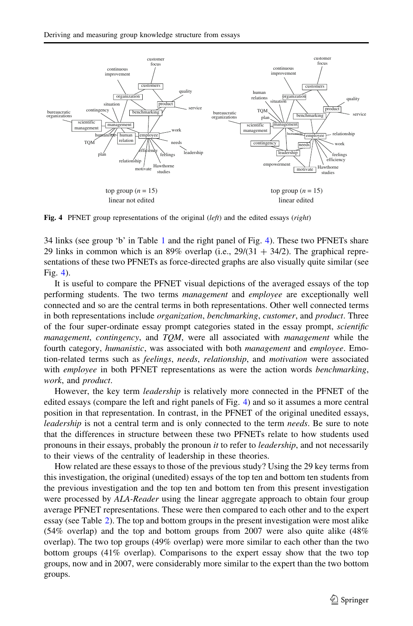<span id="page-8-0"></span>

Fig. 4 PFNET group representations of the original (left) and the edited essays (right)

34 links (see group 'b' in Table [1](#page-7-0) and the right panel of Fig. 4). These two PFNETs share 29 links in common which is an 89% overlap (i.e.,  $29/(31 + 34/2)$ ). The graphical representations of these two PFNETs as force-directed graphs are also visually quite similar (see Fig. 4).

It is useful to compare the PFNET visual depictions of the averaged essays of the top performing students. The two terms *management* and *employee* are exceptionally well connected and so are the central terms in both representations. Other well connected terms in both representations include *organization*, *benchmarking*, *customer*, and *product*. Three of the four super-ordinate essay prompt categories stated in the essay prompt, scientific *management, contingency, and TQM, were all associated with management while the* fourth category, *humanistic*, was associated with both *management* and *employee*. Emotion-related terms such as *feelings*, *needs*, *relationship*, and *motivation* were associated with employee in both PFNET representations as were the action words benchmarking, work, and product.

However, the key term leadership is relatively more connected in the PFNET of the edited essays (compare the left and right panels of Fig. 4) and so it assumes a more central position in that representation. In contrast, in the PFNET of the original unedited essays, *leadership* is not a central term and is only connected to the term *needs*. Be sure to note that the differences in structure between these two PFNETs relate to how students used pronouns in their essays, probably the pronoun *it* to refer to *leadership*, and not necessarily to their views of the centrality of leadership in these theories.

How related are these essays to those of the previous study? Using the 29 key terms from this investigation, the original (unedited) essays of the top ten and bottom ten students from the previous investigation and the top ten and bottom ten from this present investigation were processed by ALA-Reader using the linear aggregate approach to obtain four group average PFNET representations. These were then compared to each other and to the expert essay (see Table [2\)](#page-9-0). The top and bottom groups in the present investigation were most alike (54% overlap) and the top and bottom groups from 2007 were also quite alike (48% overlap). The two top groups (49% overlap) were more similar to each other than the two bottom groups (41% overlap). Comparisons to the expert essay show that the two top groups, now and in 2007, were considerably more similar to the expert than the two bottom groups.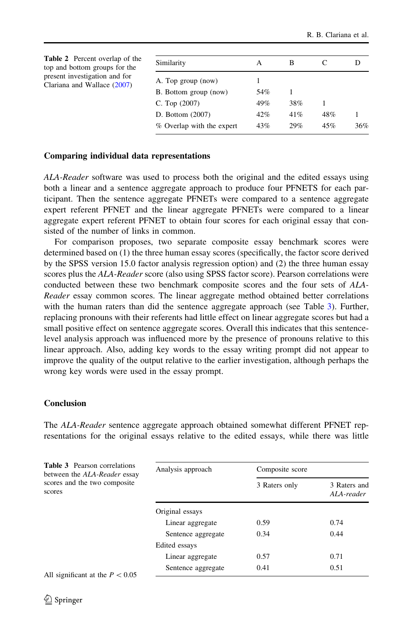<span id="page-9-0"></span>

| <b>Table 2</b> Percent overlap of the<br>top and bottom groups for the<br>present investigation and for<br>Clariana and Wallace (2007) | Similarity                | А      | В   |     | Ð   |
|----------------------------------------------------------------------------------------------------------------------------------------|---------------------------|--------|-----|-----|-----|
|                                                                                                                                        | A. Top group (now)        |        |     |     |     |
|                                                                                                                                        | B. Bottom group (now)     | 54%    |     |     |     |
|                                                                                                                                        | C. Top $(2007)$           | 49%    | 38% |     |     |
|                                                                                                                                        | D. Bottom (2007)          | $42\%$ | 41% | 48% |     |
|                                                                                                                                        | % Overlap with the expert | 43%    | 29% | 45% | 36% |

## Comparing individual data representations

ALA-Reader software was used to process both the original and the edited essays using both a linear and a sentence aggregate approach to produce four PFNETS for each participant. Then the sentence aggregate PFNETs were compared to a sentence aggregate expert referent PFNET and the linear aggregate PFNETs were compared to a linear aggregate expert referent PFNET to obtain four scores for each original essay that consisted of the number of links in common.

For comparison proposes, two separate composite essay benchmark scores were determined based on (1) the three human essay scores (specifically, the factor score derived by the SPSS version 15.0 factor analysis regression option) and (2) the three human essay scores plus the ALA-Reader score (also using SPSS factor score). Pearson correlations were conducted between these two benchmark composite scores and the four sets of ALA-Reader essay common scores. The linear aggregate method obtained better correlations with the human raters than did the sentence aggregate approach (see Table 3). Further, replacing pronouns with their referents had little effect on linear aggregate scores but had a small positive effect on sentence aggregate scores. Overall this indicates that this sentencelevel analysis approach was influenced more by the presence of pronouns relative to this linear approach. Also, adding key words to the essay writing prompt did not appear to improve the quality of the output relative to the earlier investigation, although perhaps the wrong key words were used in the essay prompt.

# Conclusion

The ALA-Reader sentence aggregate approach obtained somewhat different PFNET representations for the original essays relative to the edited essays, while there was little

| <b>Table 3</b> Pearson correlations<br>between the ALA-Reader essay | Analysis approach  | Composite score |                            |  |  |  |
|---------------------------------------------------------------------|--------------------|-----------------|----------------------------|--|--|--|
| scores and the two composite<br>scores                              | 3 Raters only      |                 | 3 Raters and<br>ALA-reader |  |  |  |
|                                                                     | Original essays    |                 |                            |  |  |  |
|                                                                     | Linear aggregate   | 0.59            | 0.74                       |  |  |  |
|                                                                     | Sentence aggregate | 0.34            | 0.44                       |  |  |  |
|                                                                     | Edited essays      |                 |                            |  |  |  |
|                                                                     | Linear aggregate   | 0.57            | 0.71                       |  |  |  |
| All significant at the $P \geq 0.05$                                | Sentence aggregate | 0.41            | 0.51                       |  |  |  |

All significant at the  $P$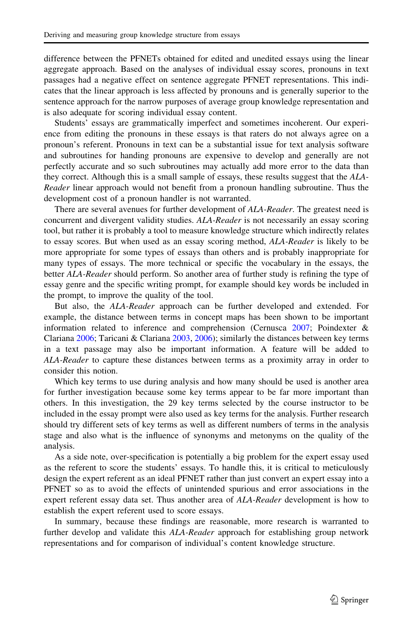difference between the PFNETs obtained for edited and unedited essays using the linear aggregate approach. Based on the analyses of individual essay scores, pronouns in text passages had a negative effect on sentence aggregate PFNET representations. This indicates that the linear approach is less affected by pronouns and is generally superior to the sentence approach for the narrow purposes of average group knowledge representation and is also adequate for scoring individual essay content.

Students' essays are grammatically imperfect and sometimes incoherent. Our experience from editing the pronouns in these essays is that raters do not always agree on a pronoun's referent. Pronouns in text can be a substantial issue for text analysis software and subroutines for handing pronouns are expensive to develop and generally are not perfectly accurate and so such subroutines may actually add more error to the data than they correct. Although this is a small sample of essays, these results suggest that the ALA-Reader linear approach would not benefit from a pronoun handling subroutine. Thus the development cost of a pronoun handler is not warranted.

There are several avenues for further development of ALA-Reader. The greatest need is concurrent and divergent validity studies. ALA-Reader is not necessarily an essay scoring tool, but rather it is probably a tool to measure knowledge structure which indirectly relates to essay scores. But when used as an essay scoring method, ALA-Reader is likely to be more appropriate for some types of essays than others and is probably inappropriate for many types of essays. The more technical or specific the vocabulary in the essays, the better ALA-Reader should perform. So another area of further study is refining the type of essay genre and the specific writing prompt, for example should key words be included in the prompt, to improve the quality of the tool.

But also, the ALA-Reader approach can be further developed and extended. For example, the distance between terms in concept maps has been shown to be important information related to inference and comprehension (Cernusca [2007;](#page-11-0) Poindexter & Clariana [2006](#page-11-0); Taricani & Clariana [2003,](#page-11-0) [2006](#page-11-0)); similarly the distances between key terms in a text passage may also be important information. A feature will be added to ALA-Reader to capture these distances between terms as a proximity array in order to consider this notion.

Which key terms to use during analysis and how many should be used is another area for further investigation because some key terms appear to be far more important than others. In this investigation, the 29 key terms selected by the course instructor to be included in the essay prompt were also used as key terms for the analysis. Further research should try different sets of key terms as well as different numbers of terms in the analysis stage and also what is the influence of synonyms and metonyms on the quality of the analysis.

As a side note, over-specification is potentially a big problem for the expert essay used as the referent to score the students' essays. To handle this, it is critical to meticulously design the expert referent as an ideal PFNET rather than just convert an expert essay into a PFNET so as to avoid the effects of unintended spurious and error associations in the expert referent essay data set. Thus another area of ALA-Reader development is how to establish the expert referent used to score essays.

In summary, because these findings are reasonable, more research is warranted to further develop and validate this ALA-Reader approach for establishing group network representations and for comparison of individual's content knowledge structure.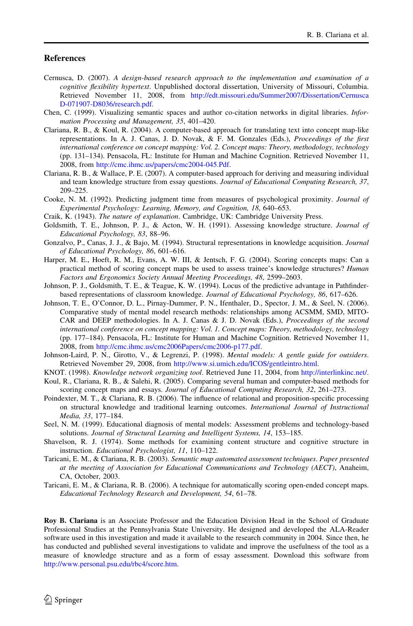#### <span id="page-11-0"></span>**References**

- Cernusca, D. (2007). A design-based research approach to the implementation and examination of a cognitive flexibility hypertext. Unpublished doctoral dissertation, University of Missouri, Columbia. Retrieved November 11, 2008, from [http://edt.missouri.edu/Summer2007/Dissertation/Cernusca](http://edt.missouri.edu/Summer2007/Dissertation/CernuscaD-071907-D8036/research.pdf) [D-071907-D8036/research.pdf.](http://edt.missouri.edu/Summer2007/Dissertation/CernuscaD-071907-D8036/research.pdf)
- Chen, C. (1999). Visualizing semantic spaces and author co-citation networks in digital libraries. Information Processing and Management, 35, 401–420.
- Clariana, R. B., & Koul, R. (2004). A computer-based approach for translating text into concept map-like representations. In A. J. Canas, J. D. Novak, & F. M. Gonzales (Eds.), Proceedings of the first international conference on concept mapping: Vol. 2. Concept maps: Theory, methodology, technology (pp. 131–134). Pensacola, FL: Institute for Human and Machine Cognition. Retrieved November 11, 2008, from [http://cmc.ihmc.us/papers/cmc2004-045.Pdf.](http://cmc.ihmc.us/papers/cmc2004-045.Pdf)
- Clariana, R. B., & Wallace, P. E. (2007). A computer-based approach for deriving and measuring individual and team knowledge structure from essay questions. Journal of Educational Computing Research, 37, 209–225.
- Cooke, N. M. (1992). Predicting judgment time from measures of psychological proximity. Journal of Experimental Psychology: Learning, Memory, and Cognition, 18, 640–653.
- Craik, K. (1943). The nature of explanation. Cambridge, UK: Cambridge University Press.
- Goldsmith, T. E., Johnson, P. J., & Acton, W. H. (1991). Assessing knowledge structure. Journal of Educational Psychology, 83, 88–96.
- Gonzalvo, P., Canas, J. J., & Bajo, M. (1994). Structural representations in knowledge acquisition. Journal of Educational Psychology, 86, 601–616.
- Harper, M. E., Hoeft, R. M., Evans, A. W. III, & Jentsch, F. G. (2004). Scoring concepts maps: Can a practical method of scoring concept maps be used to assess trainee's knowledge structures? Human Factors and Ergonomics Society Annual Meeting Proceedings, 48, 2599–2603.
- Johnson, P. J., Goldsmith, T. E., & Teague, K. W. (1994). Locus of the predictive advantage in Pathfinderbased representations of classroom knowledge. Journal of Educational Psychology, 86, 617–626.
- Johnson, T. E., O'Connor, D. L., Pirnay-Dummer, P. N., Ifenthaler, D., Spector, J. M., & Seel, N. (2006). Comparative study of mental model research methods: relationships among ACSMM, SMD, MITO-CAR and DEEP methodologies. In A. J. Canas & J. D. Novak (Eds.), Proceedings of the second international conference on concept mapping: Vol. 1. Concept maps: Theory, methodology, technology (pp. 177–184). Pensacola, FL: Institute for Human and Machine Cognition. Retrieved November 11, 2008, from <http://cmc.ihmc.us/cmc2006Papers/cmc2006-p177.pdf>.
- Johnson-Laird, P. N., Girotto, V., & Legrenzi, P. (1998). Mental models: A gentle guide for outsiders. Retrieved November 29, 2008, from [http://www.si.umich.edu/ICOS/gentleintro.html.](http://www.si.umich.edu/ICOS/gentleintro.html)
- KNOT. (1998). Knowledge network organizing tool. Retrieved June 11, 2004, from [http://interlinkinc.net/.](http://interlinkinc.net/)
- Koul, R., Clariana, R. B., & Salehi, R. (2005). Comparing several human and computer-based methods for scoring concept maps and essays. Journal of Educational Computing Research, 32, 261–273.
- Poindexter, M. T., & Clariana, R. B. (2006). The influence of relational and proposition-specific processing on structural knowledge and traditional learning outcomes. International Journal of Instructional Media, 33, 177–184.
- Seel, N. M. (1999). Educational diagnosis of mental models: Assessment problems and technology-based solutions. Journal of Structural Learning and Intelligent Systems, 14, 153–185.
- Shavelson, R. J. (1974). Some methods for examining content structure and cognitive structure in instruction. Educational Psychologist, 11, 110–122.
- Taricani, E. M., & Clariana, R. B. (2003). Semantic map automated assessment techniques. Paper presented at the meeting of Association for Educational Communications and Technology (AECT), Anaheim, CA, October, 2003.
- Taricani, E. M., & Clariana, R. B. (2006). A technique for automatically scoring open-ended concept maps. Educational Technology Research and Development, 54, 61–78.

Roy B. Clariana is an Associate Professor and the Education Division Head in the School of Graduate Professional Studies at the Pennsylvania State University. He designed and developed the ALA-Reader software used in this investigation and made it available to the research community in 2004. Since then, he has conducted and published several investigations to validate and improve the usefulness of the tool as a measure of knowledge structure and as a form of essay assessment. Download this software from <http://www.personal.psu.edu/rbc4/score.htm>.